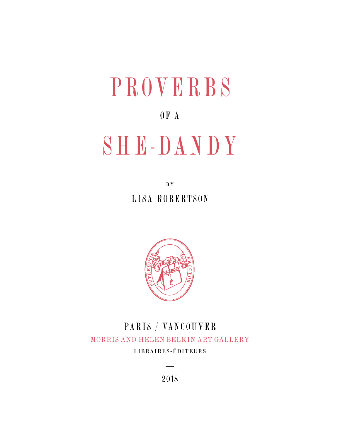# PROVERBS

## OF A

# SHE-DANDY

 $\overline{B}$   $\overline{Y}$ LISA ROBERTSON



### PARIS / VANCOUVER MORRIS AND HELEN BELKIN ART GALLERY LIBRAIRES-ÉDITEURS

2018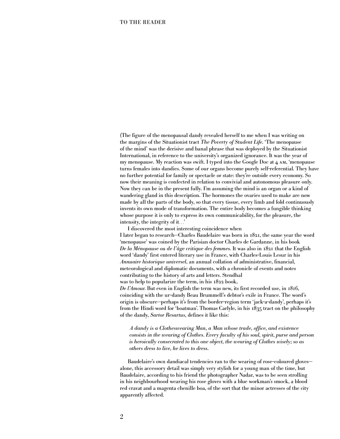(The figure of the menopausal dandy revealed herself to me when I was writing on the margins of the Situationist tract *The Poverty of Student Life*. 'The menopause of the mind' was the derisive and banal phrase that was deployed by the Situationist International, in reference to the university's organized ignorance. It was the year of my menopause. My reaction was swift. I typed into the Google Doc at 4 am, 'menopause turns females into dandies. Some of our organs become purely self-referential. They have no further potential for family or spectacle or state: they're outside every economy. So now their meaning is confected in relation to convivial and autonomous pleasure only. Now they can be in the present fully. I'm assuming the mind is an organ or a kind of wandering gland in this description. The hormones the ovaries used to make are now made by all the parts of the body, so that every tissue, every limb and fold continuously invents its own mode of transformation. The entire body becomes a fungible thinking whose purpose it is only to express its own communicability, for the pleasure, the intensity, the integrity of it…

I discovered the most interesting coincidence when I later began to research—Charles Baudelaire was born in 1821, the same year the word 'menopause' was coined by the Parisian doctor Charles de Gardanne, in his book *De la Ménopause ou de l'âge critique des femmes*. It was also in 1821 that the English word 'dandy' first entered literary use in France, with Charles-Louis Lesur in his *Annuaire historique universel*, an annual collation of administrative, financial, meteorological and diplomatic documents, with a chronicle of events and notes contributing to the history of arts and letters. Stendhal was to help to popularize the term, in his 1822 book, *De l'Amour*. But even in English the term was new, its first recorded use, in 1816, coinciding with the ur-dandy Beau Brummell's debtor's exile in France. The word's

origin is obscure—perhaps it's from the border-region term 'jack-a-dandy', perhaps it's from the Hindi word for 'boatman'. Thomas Carlyle, in his 1835 tract on the philosophy of the dandy, *Sartor Resartus*, defines it like this:

*A dandy is a Clotheswearing Man, a Man whose trade, office, and existence consists in the wearing of Clothes. Every faculty of his soul, spirit, purse and person is heroically consecrated to this one object, the wearing of Clothes wisely; so as others dress to live, he lives to dress.* 

Baudelaire's own dandiacal tendencies ran to the wearing of rose-coloured gloves alone, this accessory detail was simply very stylish for a young man of the time, but Baudelaire, according to his friend the photographer Nadar, was to be seen strolling in his neighbourhood wearing his rose gloves with a blue workman's smock, a blood red cravat and a magenta chenille boa, of the sort that the minor actresses of the city apparently affected.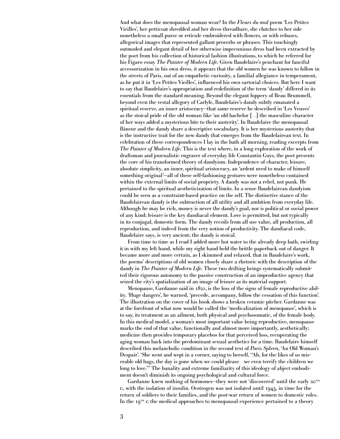And what does the menopausal woman wear? In the *Fleurs du mal* poem 'Les Petites Vieilles', her petticoat shredded and her dress threadbare, she clutches to her side nonetheless a small purse or reticule embroidered with flowers, or with rebuses, allegorical images that represented gallant proverbs or phrases. This touchingly outmoded and elegant detail of her otherwise impecunious dress had been extracted by the poet from his collection of historical fashion illustrations, to which he referred for his Figaro essay *The Painter of Modern Life*. Given Baudelaire's penchant for fanciful accessorization in his own dress, it appears that the old women he was known to follow in the streets of Paris, out of an empathetic curiosity, a familial allegiance in temperament, as he put it in 'Les Petites Vieilles', influenced his own sartorial choices. But here I want to say that Baudelaire's appropriation and redefinition of the term 'dandy' differed in its essentials from the standard meaning. Beyond the elegant foppery of Beau Brummell, beyond even the vestal allegory of Carlyle, Baudelaire's dandy subtly emanated a spiritual reserve, an inner aristocracy—that same reserve he described in 'Les Veuves' as the stoical pride of the old woman like 'an old bachelor […] the masculine character of her ways added a mysterious bite to their austerity'. In Baudelaire the menopausal flâneur and the dandy share a descriptive vocabulary. It is her mysterious austerity that is the instructive trait for the new dandy that emerges from the Baudelairean text. In celebration of these correspondences I lay in the bath all morning, reading excerpts from *The Painter of Modern Life*. This is the text where, in a long exploration of the work of draftsman and journalistic engraver of everyday life Constantin Guys, the poet presents the core of his transformed theory of dandyism. Independence of character, leisure, absolute simplicity, an inner, spiritual aristocracy, an 'ardent need to make of himself something original'—all of these self-fashioning gestures were nonetheless contained within the external limits of social propriety. A dandy was not a rebel, not punk. He pertained to the spiritual aestheticization of limits. In a sense Baudelairean dandyism could be seen as a constraint-based practice on the self. The distinctive stance of the Baudelairean dandy is the subtraction of all utility and all ambition from everyday life. Although he may be rich, money is never the dandy's goal, nor is political or social power of any kind; leisure is the key dandiacal element. Love is permitted, but not typically in its conjugal, domestic form. The dandy recoils from all use value, all production, all reproduction, and indeed from the very notion of productivity. The dandiacal code, Baudelaire says, is very ancient; the dandy is stoical.

From time to time as I read I added more hot water to the already deep bath, swirling it in with my left hand, while my right hand held the brittle paperback out of danger. It became more and more certain, as I skimmed and relaxed, that in Baudelaire's work, the poems' descriptions of old women closely share a rhetoric with the description of the dandy in *The Painter of Modern Life*. These two drifting beings systematically submitted their rigorous autonomy to the passive construction of an improductive agency that seized the city's spatialization of an image of leisure as its material support.

Menopause, Gardanne said in 1821, is the loss of the signs of female reproductive ability. 'Huge dangers', he warned, 'precede, accompany, follow the cessation of this function'. The illustration on the cover of his book shows a broken ceramic pitcher. Gardanne was at the forefront of what now would be called the 'medicalization of menopause', which is to say, its treatment as an ailment, both physical and psychosomatic, of the female body. In this medical model, a woman's most important value being reproductive, menopause marks the end of that value, functionally and almost more importantly, aesthetically; medicine then provides temporary placebos for that perceived loss, recuperating the aging woman back into the predominant sexual aesthetics for a time. Baudelaire himself described this melancholic condition in the second text of *Paris Spleen*, 'An Old Woman's Despair'. 'She went and wept in a corner, saying to herself, "Ah, for the likes of us miserable old hags, the day is gone when we could please…we even terrify the children we long to love."' The banality and extreme familiarity of this ideology of abject embodiment doesn't diminish its ongoing psychological and cultural force.

Gardanne knew nothing of hormones—they were not 'discovered' until the early  $20<sup>TH</sup>$ c, with the isolation of insulin. Oestrogen was not isolated until 1943, in time for the return of soldiers to their families, and the post-war return of women to domestic roles. In the  $I_9^{\text{th}}$  c the medical approaches to menopausal experience pertained to a theory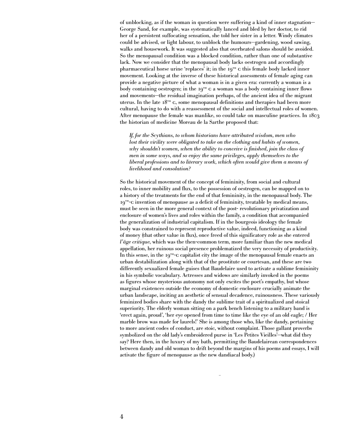of unblocking, as if the woman in question were suffering a kind of inner stagnation— George Sand, for example, was systematically lanced and bled by her doctor, to rid her of a persistent suffocating sensation, she told her sister in a letter. Windy climates could be advised, or light labour, to unblock the humours—gardening, wood sawing, walks and housework. It was suggested also that overheated salons should be avoided. So the menopausal condition was a blocked condition, rather than one of substantive lack. Now we consider that the menopausal body lacks oestrogen and accordingly pharmaceutical horse urine 'replaces' it; in the  $I9^{TH}$  c this female body lacked inner movement. Looking at the inverse of these historical assessments of female aging can provide a negative picture of what a woman is in a given era: currently a woman is a body containing oestrogen; in the  $19<sup>TH</sup>$  c a woman was a body containing inner flows and movements—the residual imagination perhaps, of the ancient idea of the migrant uterus. In the late  $18<sup>TH</sup>$  c, some menopausal definitions and therapies had been more cultural, having to do with a reassessment of the social and intellectual roles of women. After menopause the female was manlike, so could take on masculine practices. In 1803 the historian of medicine Moreau de la Sarthe proposed that:

*If, for the Scythians, to whom historians have attributed wisdom, men who lost their virility were obligated to take on the clothing and habits of women, why shouldn't women, when the ability to conceive is finished, join the class of men in some ways, and so enjoy the same privileges, apply themselves to the liberal professions and to literary work, which often would give them a means of livelihood and consolation?*

So the historical movement of the concept of femininity, from social and cultural roles, to inner mobility and flux, to the possession of oestrogen, can be mapped on to a history of the treatments for the end of that femininity, in the menopausal body. The  $19<sup>TH</sup>-C$  invention of menopause as a deficit of femininity, treatable by medical means, must be seen in the more general context of the post- revolutionary privatization and enclosure of women's lives and roles within the family, a condition that accompanied the generalization of industrial capitalism. If in the bourgeois ideology the female body was constrained to represent reproductive value, indeed, functioning as a kind of money (that other value in flux), once freed of this significatory role as she entered *l'âge critique*, which was the then-common term, more familiar than the new medical appellation, her ruinous social presence problematized the very necessity of productivity. In this sense, in the  $19^{th}$ -c capitalist city the image of the menopausal female enacts an urban destabilization along with that of the prostitute or courtesan, and these are two differently sexualized female guises that Baudelaire used to activate a sublime femininity in his symbolic vocabulary. Actresses and widows are similarly invoked in the poems as figures whose mysterious autonomy not only excites the poet's empathy, but whose marginal existences outside the economy of domestic enclosure crucially animate the urban landscape, inciting an aesthetic of sensual decadence, ruinousness. These variously feminized bodies share with the dandy the sublime trait of a spiritualized and stoical superiority. The elderly woman sitting on a park bench listening to a military band is 'erect again, proud', 'her eye opened from time to time like the eye of an old eagle; / Her marble brow was made for laurels!' She is among those who, like the dandy, pertaining to more ancient codes of conduct, are stoic, without complaint. Those gallant proverbs symbolized on the old lady's embroidered purse in 'Les Petites Vieilles'—what did they say? Here then, in the luxury of my bath, permitting the Baudelairean correspondences between dandy and old woman to drift beyond the margins of his poems and essays, I will activate the figure of menopause as the new dandiacal body.)

—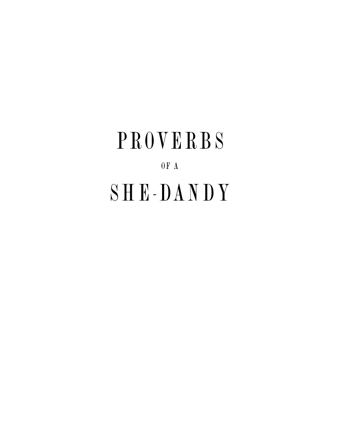# PROVERBS OF A SHE-DANDY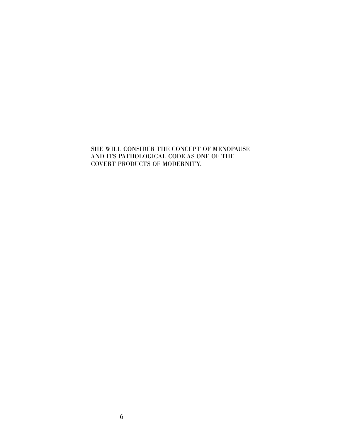### SHE WILL CONSIDER THE CONCEPT OF MENOPAUSE AND ITS PATHOLOGICAL CODE AS ONE OF THE COVERT PRODUCTS OF MODERNITY.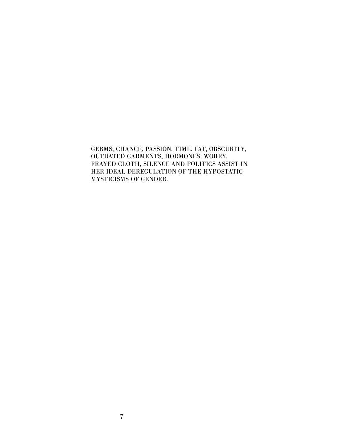GERMS, CHANCE, PASSION, TIME, FAT, OBSCURITY, OUTDATED GARMENTS, HORMONES, WORRY, FRAYED CLOTH, SILENCE AND POLITICS ASSIST IN HER IDEAL DEREGULATION OF THE HYPOSTATIC MYSTICISMS OF GENDER.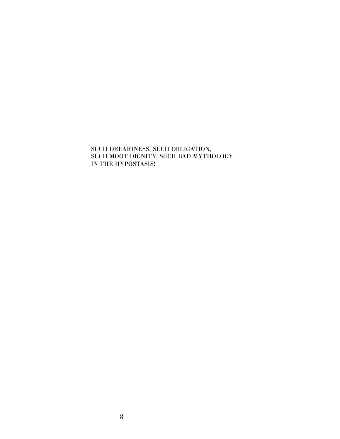### SUCH DREARINESS, SUCH OBLIGATION, SUCH MOOT DIGNITY, SUCH BAD MYTHOLOGY IN THE HYPOSTASIS!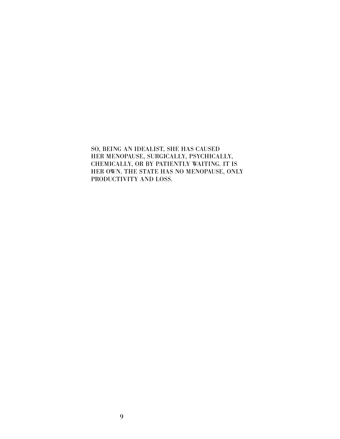SO, BEING AN IDEALIST, SHE HAS CAUSED HER MENOPAUSE, SURGICALLY, PSYCHICALLY, CHEMICALLY, OR BY PATIENTLY WAITING. IT IS HER OWN. THE STATE HAS NO MENOPAUSE, ONLY PRODUCTIVITY AND LOSS.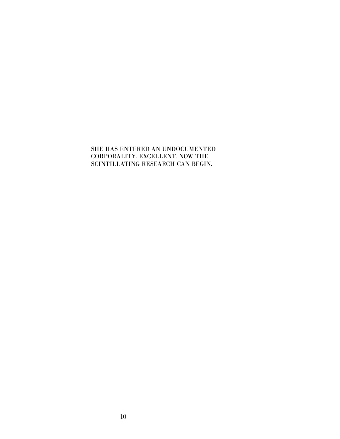### SHE HAS ENTERED AN UNDOCUMENTED CORPORALITY. EXCELLENT. NOW THE SCINTILLATING RESEARCH CAN BEGIN.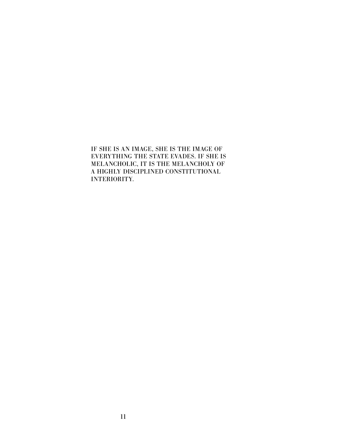IF SHE IS AN IMAGE, SHE IS THE IMAGE OF EVERYTHING THE STATE EVADES. IF SHE IS MELANCHOLIC, IT IS THE MELANCHOLY OF A HIGHLY DISCIPLINED CONSTITUTIONAL INTERIORITY.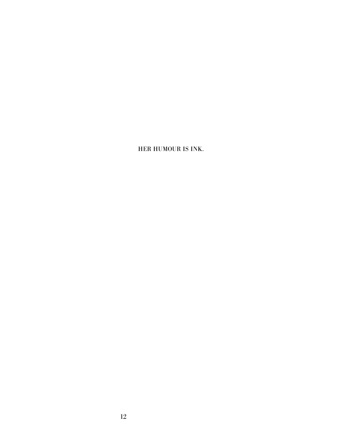HER HUMOUR IS INK.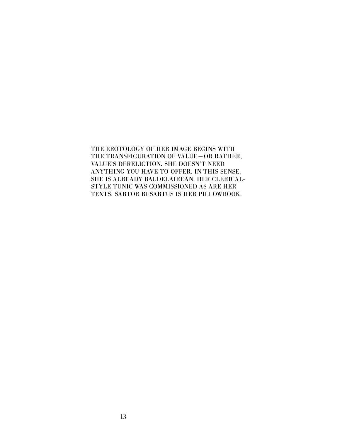THE EROTOLOGY OF HER IMAGE BEGINS WITH THE TRANSFIGURATION OF VALUE-OR RATHER, VALUE'S DERELICTION. SHE DOESN'T NEED ANYTHING YOU HAVE TO OFFER. IN THIS SENSE, SHE IS ALREADY BAUDELAIREAN. HER CLERICAL-STYLE TUNIC WAS COMMISSIONED AS ARE HER TEXTS. SARTOR RESARTUS IS HER PILLOWBOOK.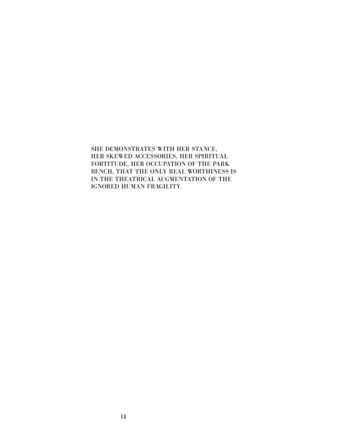SHE DEMONSTRATES WITH HER STANCE, HER SKEWED ACCESSORIES, HER SPIRITUAL FORTITUDE, HER OCCUPATION OF THE PARK BENCH, THAT THE ONLY REAL WORTHINESS IS IN THE THEATRICAL AUGMENTATION OF THE IGNORED HUMAN FRAGILITY.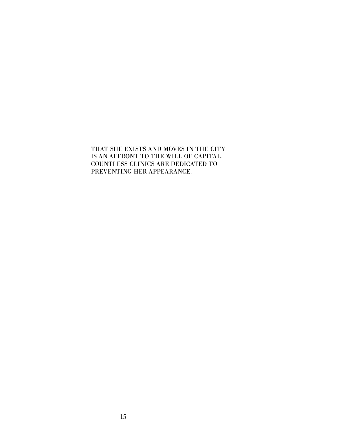THAT SHE EXISTS AND MOVES IN THE CITY IS AN AFFRONT TO THE WILL OF CAPITAL. COUNTLESS CLINICS ARE DEDICATED TO PREVENTING HER APPEARANCE.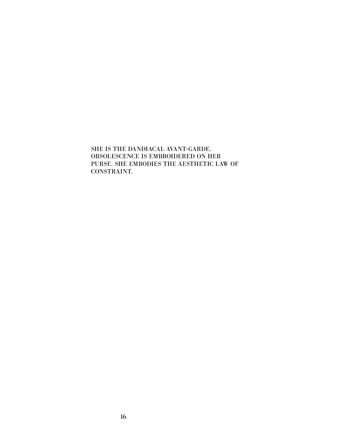SHE IS THE DANDIACAL AVANT-GARDE. OBSOLESCENCE IS EMBROIDERED ON HER PURSE. SHE EMBODIES THE AESTHETIC LAW OF CONSTRAINT.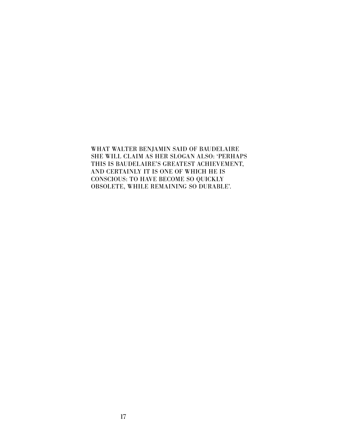WHAT WALTER BENJAMIN SAID OF BAUDELAIRE SHE WILL CLAIM AS HER SLOGAN ALSO: 'PERHAPS THIS IS BAUDELAIRE'S GREATEST ACHIEVEMENT, AND CERTAINLY IT IS ONE OF WHICH HE IS CONSCIOUS: TO HAVE BECOME SO QUICKLY OBSOLETE, WHILE REMAINING SO DURABLE'.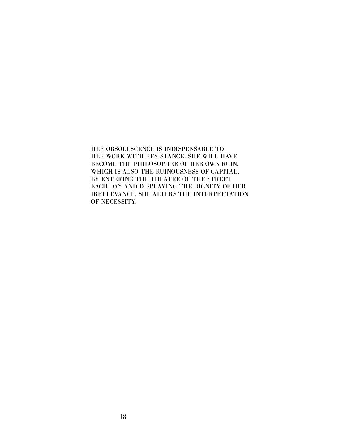HER OBSOLESCENCE IS INDISPENSABLE TO HER WORK WITH RESISTANCE. SHE WILL HAVE BECOME THE PHILOSOPHER OF HER OWN RUIN, WHICH IS ALSO THE RUINOUSNESS OF CAPITAL. BY ENTERING THE THEATRE OF THE STREET EACH DAY AND DISPLAYING THE DIGNITY OF HER IRRELEVANCE, SHE ALTERS THE INTERPRETATION OF NECESSITY.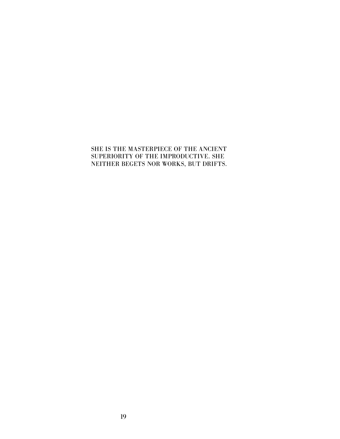### SHE IS THE MASTERPIECE OF THE ANCIENT SUPERIORITY OF THE IMPRODUCTIVE. SHE NEITHER BEGETS NOR WORKS, BUT DRIFTS.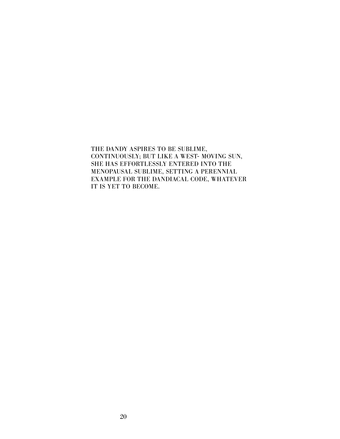THE DANDY ASPIRES TO BE SUBLIME, CONTINUOUSLY; BUT LIKE A WEST- MOVING SUN, SHE HAS EFFORTLESSLY ENTERED INTO THE MENOPAUSAL SUBLIME, SETTING A PERENNIAL EXAMPLE FOR THE DANDIACAL CODE, WHATEVER IT IS YET TO BECOME.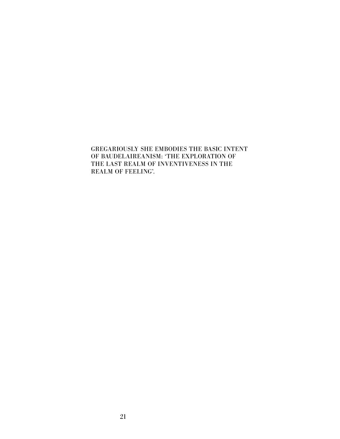GREGARIOUSLY SHE EMBODIES THE BASIC INTENT OF BAUDELAIREANISM: 'THE EXPLORATION OF THE LAST REALM OF INVENTIVENESS IN THE REALM OF FEELING'.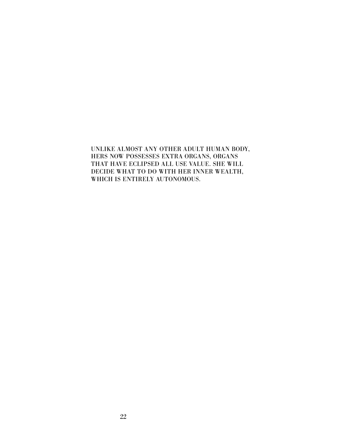UNLIKE ALMOST ANY OTHER ADULT HUMAN BODY, HERS NOW POSSESSES EXTRA ORGANS, ORGANS THAT HAVE ECLIPSED ALL USE VALUE. SHE WILL DECIDE WHAT TO DO WITH HER INNER WEALTH, WHICH IS ENTIRELY AUTONOMOUS.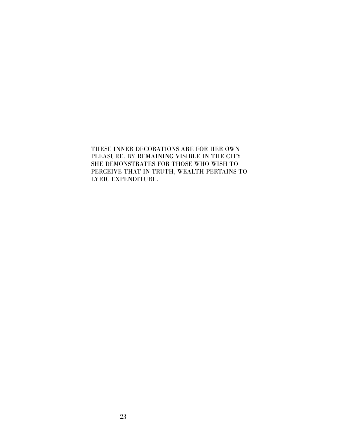THESE INNER DECORATIONS ARE FOR HER OWN PLEASURE. BY REMAINING VISIBLE IN THE CITY SHE DEMONSTRATES FOR THOSE WHO WISH TO PERCEIVE THAT IN TRUTH, WEALTH PERTAINS TO LYRIC EXPENDITURE.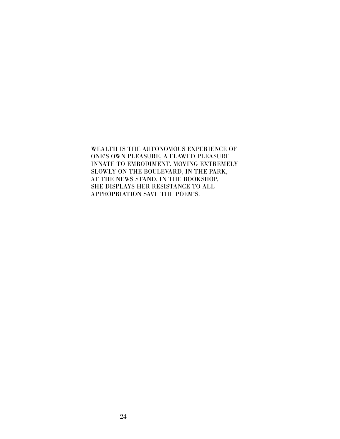WEALTH IS THE AUTONOMOUS EXPERIENCE OF ONE'S OWN PLEASURE, A FLAWED PLEASURE INNATE TO EMBODIMENT. MOVING EXTREMELY SLOWLY ON THE BOULEVARD, IN THE PARK, AT THE NEWS STAND, IN THE BOOKSHOP, SHE DISPLAYS HER RESISTANCE TO ALL APPROPRIATION SAVE THE POEM'S.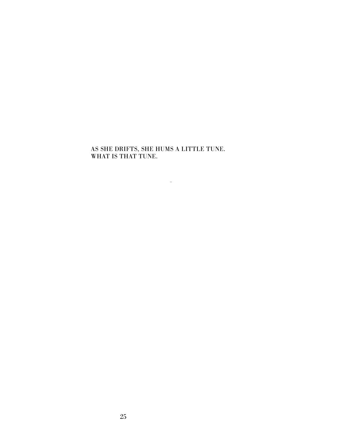### AS SHE DRIFTS, SHE HUMS A LITTLE TUNE. WHAT IS THAT TUNE.

 $\sim 10^{11}$  m  $^{-1}$  .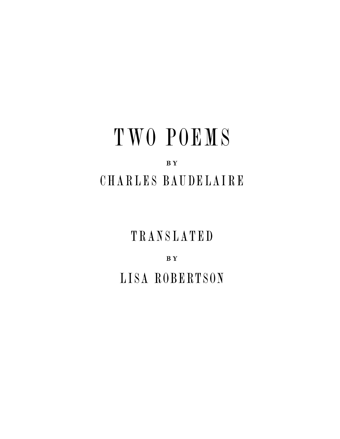# TWO POEMS **BY** CHARLES BAUDELAIRE

TRANSLATED

**BY** 

LISA ROBERTSON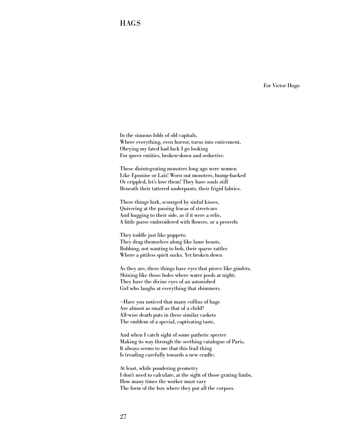For Victor Hugo

In the sinuous folds of old capitals, Where everything, even horror, turns into enticement, Obeying my fated bad luck I go looking For queer entities, broken-down and seductive.

**HAGS** 

These disintegrating monsters long ago were women Like Eponine or Laïs! Worn out monsters, hump-backed Or crippled, let's love them! They have souls still Beneath their tattered underpants, their frigid fabrics.

These things lurk, scourged by sinful kisses, Quivering at the passing fracas of streetcars And hugging to their side, as if it were a relic, A little purse embroidered with flowers, or a proverb;

They toddle just like puppets; They drag themselves along like lame beasts, Bobbing, not wanting to bob, their sparse rattles Where a pitiless spirit sucks. Yet broken down

As they are, these things have eyes that pierce like gimlets, Shining like those holes where water pools at night; They have the divine eyes of an astonished Girl who laughs at everything that shimmers.

—Have you noticed that many coffins of hags Are almost as small as that of a child? All-wise death puts in these similar caskets The emblem of a special, captivating taste,

And when I catch sight of some pathetic specter Making its way through the seething catalogue of Paris, It always seems to me that this frail thing Is treading carefully towards a new cradle;

At least, while pondering geometry I don't need to calculate, at the sight of those grating limbs, How many times the worker must vary The form of the box where they put all the corpses.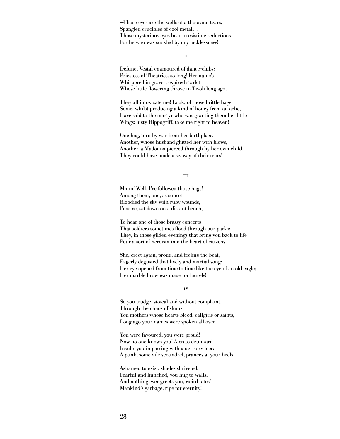—Those eyes are the wells of a thousand tears, Spangled crucibles of cool metal… Those mysterious eyes bear irresistible seductions For he who was suckled by dry lucklessness!

ii

Defunct Vestal enamoured of dance-clubs; Priestess of Theatrics, so long! Her name's Whispered in graves; expired starlet Whose little flowering throve in Tivoli long ago,

They all intoxicate me! Look, of those brittle hags Some, whilst producing a kind of honey from an ache, Have said to the martyr who was granting them her little Wings: lusty Hippogriff, take me right to heaven!

One hag, torn by war from her birthplace, Another, whose husband glutted her with blows, Another, a Madonna pierced through by her own child, They could have made a seaway of their tears!

**III** 

Mmm! Well, I've followed those hags! Among them, one, as sunset Bloodied the sky with ruby wounds, Pensive, sat down on a distant bench,

To hear one of those brassy concerts That soldiers sometimes flood through our parks; They, in those gilded evenings that bring you back to life Pour a sort of heroism into the heart of citizens.

She, erect again, proud, and feeling the beat, Eagerly degusted that lively and martial song; Her eye opened from time to time like the eye of an old eagle; Her marble brow was made for laurels!

iv

So you trudge, stoical and without complaint, Through the chaos of slums You mothers whose hearts bleed, callgirls or saints, Long ago your names were spoken all over.

You were favoured, you were proud! Now no one knows you! A crass drunkard Insults you in passing with a derisory leer; A punk, some vile scoundrel, prances at your heels.

Ashamed to exist, shades shriveled, Fearful and hunched, you hug to walls; And nothing ever greets you, weird fates! Mankind's garbage, ripe for eternity!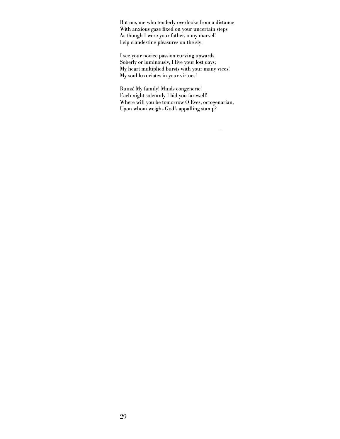But me, me who tenderly overlooks from a distance With anxious gaze fixed on your uncertain steps As though I were your father, o my marvel! I sip clandestine pleasures on the sly:

I see your novice passion curving upwards Soberly or luminously, I live your lost days; My heart multiplied bursts with your many vices! My soul luxuriates in your virtues!

Ruins! My family! Minds congeneric! Each night solemnly I bid you farewell! Where will you be tomorrow O Eves, octogenarian, Upon whom weighs God's appalling stamp?

——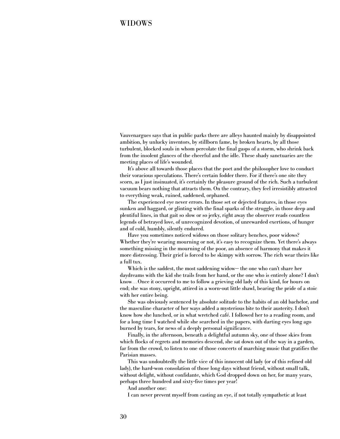#### widows

Vauvenargues says that in public parks there are alleys haunted mainly by disappointed ambition, by unlucky inventors, by stillborn fame, by broken hearts, by all those turbulent, blocked souls in whom percolate the final gasps of a storm, who shrink back from the insolent glances of the cheerful and the idle. These shady sanctuaries are the meeting places of life's wounded.

It's above all towards those places that the poet and the philosopher love to conduct their voracious speculations. There's certain fodder there. For if there's one site they scorn, as I just insinuated, it's certainly the pleasure ground of the rich. Such a turbulent vacuum bears nothing that attracts them. On the contrary, they feel irresistibly attracted to everything weak, ruined, saddened, orphaned.

The experienced eye never errors. In those set or dejected features, in those eyes sunken and haggard, or glinting with the final sparks of the struggle, in those deep and plentiful lines, in that gait so slow or so jerky, right away the observer reads countless legends of betrayed love, of unrecognized devotion, of unrewarded exertions, of hunger and of cold, humbly, silently endured.

Have you sometimes noticed widows on those solitary benches, poor widows? Whether they're wearing mourning or not, it's easy to recognize them. Yet there's always something missing in the mourning of the poor, an absence of harmony that makes it more distressing. Their grief is forced to be skimpy with sorrow. The rich wear theirs like a full tux.

Which is the saddest, the most saddening widow— the one who can't share her daydreams with the kid she trails from her hand, or the one who is entirely alone? I don't know… Once it occurred to me to follow a grieving old lady of this kind, for hours on end; she was stony, upright, attired in a worn-out little shawl, bearing the pride of a stoic with her entire being.

She was obviously sentenced by absolute solitude to the habits of an old bachelor, and the masculine character of her ways added a mysterious bite to their austerity. I don't know how she lunched, or in what wretched café. I followed her to a reading room, and for a long time I watched while she searched in the papers, with darting eyes long ago burned by tears, for news of a deeply personal significance.

Finally, in the afternoon, beneath a delightful autumn sky, one of those skies from which flocks of regrets and memories descend, she sat down out of the way in a garden, far from the crowd, to listen to one of those concerts of marching music that gratifies the Parisian masses.

This was undoubtedly the little vice of this innocent old lady (or of this refined old lady), the hard-won consolation of those long days without friend, without small talk, without delight, without confidante, which God dropped down on her, for many years, perhaps three hundred and sixty-five times per year!

And another one:

I can never prevent myself from casting an eye, if not totally sympathetic at least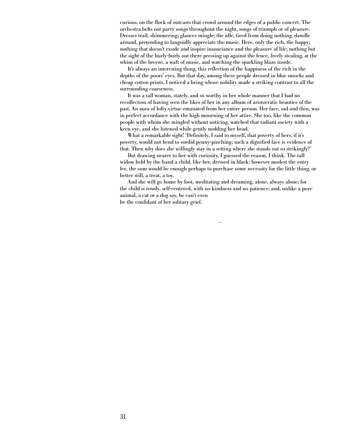curious, on the flock of outcasts that crowd around the edges of a public concert. The orchestra belts out party songs throughout the night, songs of triumph or of pleasure. Dresses trail, shimmering; glances mingle; the idle, tired from doing nothing, dawdle around, pretending to languidly appreciate the music. Here, only the rich, the happy; nothing that doesn't exude and inspire insouciance and the pleasure of life; nothing but the sight of the hurly-burly out there pressing up against the fence, freely stealing, at the whim of the breeze, a waft of music, and watching the sparkling blaze inside.

It's always an interesting thing, this reflection of the happiness of the rich in the depths of the poors' eyes. But that day, among these people dressed in blue smocks and cheap cotton prints, I noticed a being whose nobility made a striking contrast to all the surrounding coarseness.

It was a tall woman, stately, and so worthy in her whole manner that I had no recollection of having seen the likes of her in any album of aristocratic beauties of the past. An aura of lofty virtue emanated from her entire person. Her face, sad and thin, was in perfect accordance with the high mourning of her attire. She too, like the common people with whom she mingled without noticing, watched that radiant society with a keen eye, and she listened while gently nodding her head.

What a remarkable sight! 'Definitely, I said to myself, that poverty of hers, if it's poverty, would not bend to sordid penny-pinching; such a dignified face is evidence of that. Then why does she willingly stay in a setting where she stands out so strikingly?'

But drawing nearer to her with curiosity, I guessed the reason, I think. The tall widow held by the hand a child, like her, dressed in black: however modest the entry fee, the sum would be enough perhaps to purchase some necessity for the little thing, or better still, a treat, a toy.

And she will go home by foot, meditating and dreaming, alone, always alone; for the child is rowdy, self-centered, with no kindness and no patience; and, unlike a pure animal, a cat or a dog say, he can't even be the confidant of her solitary grief.

——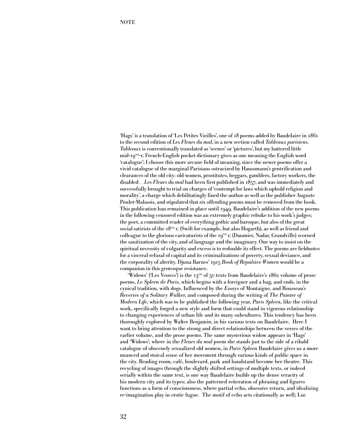**NOTE** 

'Hags' is a translation of 'Les Petites Vieilles', one of 18 poems added by Baudelaire in 1861 to the second edition of *Les Fleurs du mal*, in a new section called *Tableaux parisiens*. *Tableaux* is conventionally translated as 'scenes' or 'pictures', but my battered little mid-19<sup>TH</sup>-c French-English pocket dictionary gives as one meaning the English word 'catalogue'; I choose this more arcane field of meaning, since the newer poems offer a vivid catalogue of the marginal Parisians ostracized by Haussmann's gentrification and clearances of the old city: old women, prostitutes, beggars, gamblers, factory workers, the disabled…*Les Fleurs du mal* had been first published in 1857, and was immediately and successfully brought to trial on charges of 'contempt for laws which uphold religion and morality', a charge which debilitatingly fined the author as well as the publisher Auguste Poulet-Malassis, and stipulated that six offending poems must be removed from the book. This publication ban remained in place until 1949. Baudelaire's addition of the new poems in the following censored edition was an extremely graphic rebuke to his work's judges; the poet, a committed reader of everything gothic and baroque, but also of the great social satirists of the  $18<sup>TH</sup>$  c (Swift for example, but also Hogarth), as well as friend and colleague to the glorious caricaturists of the  $I9T<sup>H</sup>$  c (Daumier, Nadar, Grandville) scorned the sanitization of the city, and of language and the imaginary. One way to insist on the spiritual necessity of vulgarity and excess is to redouble its effect. The poems are fieldnotes for a visceral refusal of capital and its criminalizations of poverty, sexual deviance, and the corporality of alterity. Djuna Barnes' 1915 *Book of Repulsive Women* would be a companion in this grotesque resistance.

'Widows' ('Les Veuves') is the 13<sup>TH</sup> of 50 texts from Baudelaire's 1862 volume of prose poems, *Le Spleen de Paris*, which begins with a foreigner and a hag, and ends, in the cynical tradition, with dogs. Influenced by the *Essays* of Montaigne, and Rousseau's *Reveries of a Solitary Walker*, and composed during the writing of *The Painter of Modern Life*, which was to be published the following year, *Paris Spleen*, like the critical work, specifically forged a new style and form that could stand in vigorous relationship to changing experiences of urban life and its many subcultures. This tendency has been thoroughly explored by Walter Benjamin, in his various texts on Baudelaire. Here I want to bring attention to the strong and direct relationships between the verses of the earlier volume, and the prose poems. The same mysterious widow appears in 'Hags' and 'Widows'; where in the *Fleurs du mal* poem she stands just to the side of a ribald catalogue of obscenely sexualized old women, in *Paris Spleen* Baudelaire gives us a more nuanced and stoical sense of her movement through various kinds of public space in the city. Reading room, café, boulevard, park and bandstand become her theatre. This recycling of images through the slightly shifted settings of multiple texts, or indeed serially within the same text, is one way Baudelaire builds up the dense veracity of his modern city and its types; also the patterned reiteration of phrasing and figures functions as a form of consciousness, where partial echo, obsessive return, and idealizing re-imagination play in erotic fugue. The motif of echo acts citationally as well; Luc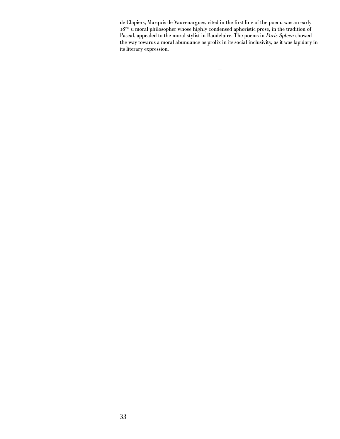de Clapiers, Marquis de Vauvenargues, cited in the first line of the poem, was an early  $18<sup>TH</sup>$ -c moral philosopher whose highly condensed aphoristic prose, in the tradition of Pascal, appealed to the moral stylist in Baudelaire. The poems in *Paris Spleen* showed the way towards a moral abundance as prolix in its social inclusivity, as it was lapidary in its literary expression.

——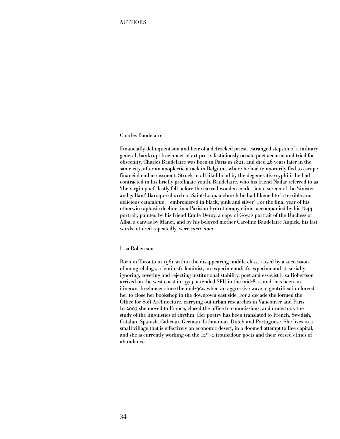#### Charles Baudelaire

Financially delinquent son and heir of a defrocked priest, estranged stepson of a military general, bankrupt freelancer of art prose, fastidiously ornate poet accused and tried for obscenity, Charles Baudelaire was born in Paris in 1821, and died 46 years later in the same city, after an apoplectic attack in Belgium, where he had temporarily fled to escape financial embarrassment. Struck in all likelihood by the degenerative syphilis he had contracted in his briefly profligate youth, Baudelaire, who his friend Nadar referred to as 'the virgin poet', lastly fell before the carved wooden confessional screen of the 'sinister and gallant' Baroque church of Saint-Loup, a church he had likened to 'a terrible and delicious catafalque…embroidered in black, pink and silver'. For the final year of his otherwise aphasic decline, in a Parisian hydrotherapy clinic, accompanied by his 1844 portrait, painted by his friend Emile Deroy, a copy of Goya's portrait of the Duchess of Alba, a canvas by Manet, and by his beloved mother Caroline Baudelaire Aupick, his last words, uttered repeatedly, were *sacré nom*.

#### Lisa Robertson

Born in Toronto in 1961 within the disappearing middle class, raised by a succession of mongrel dogs, a feminist's feminist, an experimentalist's experimentalist, serially ignoring, coveting and rejecting institutional stability, poet and essayist Lisa Robertson arrived on the west coast in 1979, attended SFU in the mid-80s, and has been an itinerant freelancer since the mid-90s, when an aggressive wave of gentrification forced her to close her bookshop in the downtown east side. For a decade she formed the Office for Soft Architecture, carrying out urban researches in Vancouver and Paris. In 2003 she moved to France, closed the office to commissions, and undertook the study of the linguistics of rhythm. Her poetry has been translated to French, Swedish, Catalan, Spanish, Galician, German, Lithuanian, Dutch and Portuguese. She lives in a small village that is effectively an economic desert, in a doomed attempt to flee capital, and she is currently working on the  $12^{TH}$ -C troubadour poets and their versed ethics of abundance.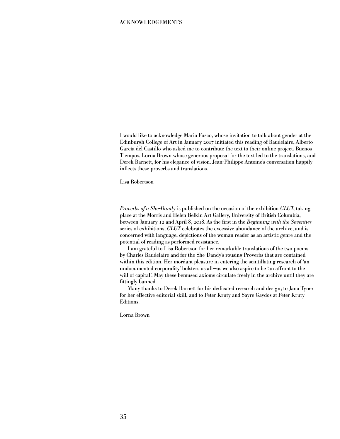I would like to acknowledge Maria Fusco, whose invitation to talk about gender at the Edinburgh College of Art in January 2017 initiated this reading of Baudelaire, Alberto García del Castillo who asked me to contribute the text to their online project, Buenos Tiempos, Lorna Brown whose generous proposal for the text led to the translations, and Derek Barnett, for his elegance of vision. Jean-Philippe Antoine's conversation happily inflects these proverbs and translations.

Lisa Robertson

*Proverbs of a She-Dandy* is published on the occasion of the exhibition *GLUT*, taking place at the Morris and Helen Belkin Art Gallery, University of British Columbia, between January 12 and April 8, 2018. As the first in the *Beginning with the Seventies* series of exhibitions, *GLUT* celebrates the excessive abundance of the archive, and is concerned with language, depictions of the woman reader as an artistic genre and the potential of reading as performed resistance.

I am grateful to Lisa Robertson for her remarkable translations of the two poems by Charles Baudelaire and for the She-Dandy's rousing Proverbs that are contained within this edition. Her mordant pleasure in entering the scintillating research of 'an undocumented corporality' bolsters us all—as we also aspire to be 'an affront to the will of capital'. May these bemused axioms circulate freely in the archive until they are fittingly banned.

Many thanks to Derek Barnett for his dedicated research and design; to Jana Tyner for her effective editorial skill, and to Peter Kruty and Sayre Gaydos at Peter Kruty Editions.

Lorna Brown